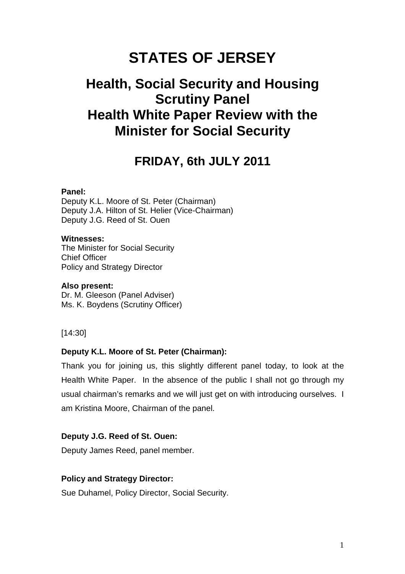# **STATES OF JERSEY**

# **Health, Social Security and Housing Scrutiny Panel Health White Paper Review with the Minister for Social Security**

## **FRIDAY, 6th JULY 2011**

## **Panel:**

Deputy K.L. Moore of St. Peter (Chairman) Deputy J.A. Hilton of St. Helier (Vice-Chairman) Deputy J.G. Reed of St. Ouen

## **Witnesses:**

The Minister for Social Security Chief Officer Policy and Strategy Director

#### **Also present:**

Dr. M. Gleeson (Panel Adviser) Ms. K. Boydens (Scrutiny Officer)

[14:30]

## **Deputy K.L. Moore of St. Peter (Chairman):**

Thank you for joining us, this slightly different panel today, to look at the Health White Paper. In the absence of the public I shall not go through my usual chairman's remarks and we will just get on with introducing ourselves. I am Kristina Moore, Chairman of the panel.

## **Deputy J.G. Reed of St. Ouen:**

Deputy James Reed, panel member.

## **Policy and Strategy Director:**

Sue Duhamel, Policy Director, Social Security.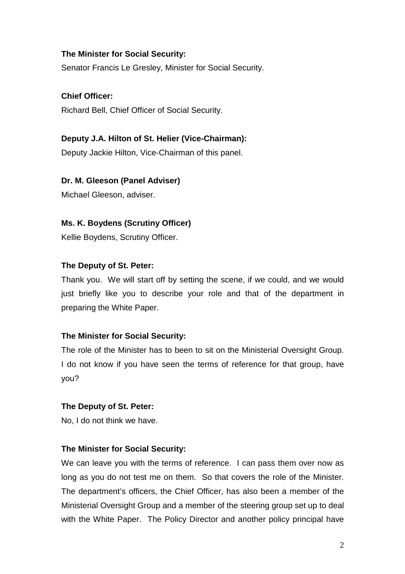Senator Francis Le Gresley, Minister for Social Security.

**Chief Officer:**  Richard Bell, Chief Officer of Social Security.

## **Deputy J.A. Hilton of St. Helier (Vice-Chairman):**

Deputy Jackie Hilton, Vice-Chairman of this panel.

## **Dr. M. Gleeson (Panel Adviser)**

Michael Gleeson, adviser.

## **Ms. K. Boydens (Scrutiny Officer)**

Kellie Boydens, Scrutiny Officer.

## **The Deputy of St. Peter:**

Thank you. We will start off by setting the scene, if we could, and we would just briefly like you to describe your role and that of the department in preparing the White Paper.

## **The Minister for Social Security:**

The role of the Minister has to been to sit on the Ministerial Oversight Group. I do not know if you have seen the terms of reference for that group, have you?

## **The Deputy of St. Peter:**

No, I do not think we have.

## **The Minister for Social Security:**

We can leave you with the terms of reference. I can pass them over now as long as you do not test me on them. So that covers the role of the Minister. The department's officers, the Chief Officer, has also been a member of the Ministerial Oversight Group and a member of the steering group set up to deal with the White Paper. The Policy Director and another policy principal have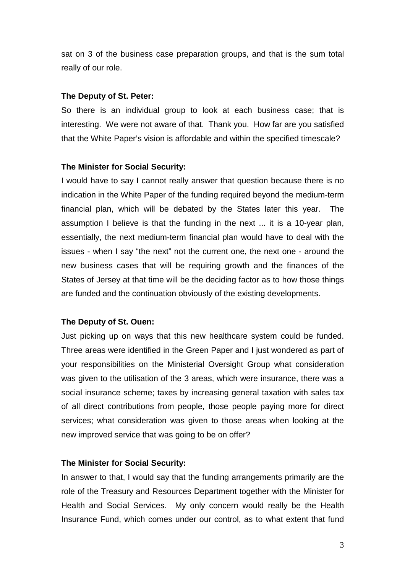sat on 3 of the business case preparation groups, and that is the sum total really of our role.

#### **The Deputy of St. Peter:**

So there is an individual group to look at each business case; that is interesting. We were not aware of that. Thank you. How far are you satisfied that the White Paper's vision is affordable and within the specified timescale?

#### **The Minister for Social Security:**

I would have to say I cannot really answer that question because there is no indication in the White Paper of the funding required beyond the medium-term financial plan, which will be debated by the States later this year. The assumption I believe is that the funding in the next ... it is a 10-year plan, essentially, the next medium-term financial plan would have to deal with the issues - when I say "the next" not the current one, the next one - around the new business cases that will be requiring growth and the finances of the States of Jersey at that time will be the deciding factor as to how those things are funded and the continuation obviously of the existing developments.

## **The Deputy of St. Ouen:**

Just picking up on ways that this new healthcare system could be funded. Three areas were identified in the Green Paper and I just wondered as part of your responsibilities on the Ministerial Oversight Group what consideration was given to the utilisation of the 3 areas, which were insurance, there was a social insurance scheme; taxes by increasing general taxation with sales tax of all direct contributions from people, those people paying more for direct services; what consideration was given to those areas when looking at the new improved service that was going to be on offer?

## **The Minister for Social Security:**

In answer to that, I would say that the funding arrangements primarily are the role of the Treasury and Resources Department together with the Minister for Health and Social Services. My only concern would really be the Health Insurance Fund, which comes under our control, as to what extent that fund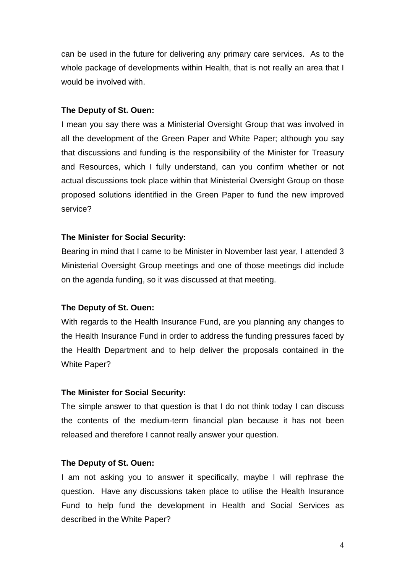can be used in the future for delivering any primary care services. As to the whole package of developments within Health, that is not really an area that I would be involved with.

#### **The Deputy of St. Ouen:**

I mean you say there was a Ministerial Oversight Group that was involved in all the development of the Green Paper and White Paper; although you say that discussions and funding is the responsibility of the Minister for Treasury and Resources, which I fully understand, can you confirm whether or not actual discussions took place within that Ministerial Oversight Group on those proposed solutions identified in the Green Paper to fund the new improved service?

#### **The Minister for Social Security:**

Bearing in mind that I came to be Minister in November last year, I attended 3 Ministerial Oversight Group meetings and one of those meetings did include on the agenda funding, so it was discussed at that meeting.

#### **The Deputy of St. Ouen:**

With regards to the Health Insurance Fund, are you planning any changes to the Health Insurance Fund in order to address the funding pressures faced by the Health Department and to help deliver the proposals contained in the White Paper?

#### **The Minister for Social Security:**

The simple answer to that question is that I do not think today I can discuss the contents of the medium-term financial plan because it has not been released and therefore I cannot really answer your question.

#### **The Deputy of St. Ouen:**

I am not asking you to answer it specifically, maybe I will rephrase the question. Have any discussions taken place to utilise the Health Insurance Fund to help fund the development in Health and Social Services as described in the White Paper?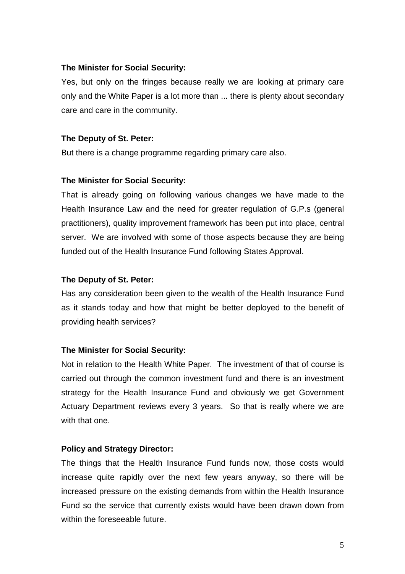Yes, but only on the fringes because really we are looking at primary care only and the White Paper is a lot more than ... there is plenty about secondary care and care in the community.

#### **The Deputy of St. Peter:**

But there is a change programme regarding primary care also.

#### **The Minister for Social Security:**

That is already going on following various changes we have made to the Health Insurance Law and the need for greater regulation of G.P.s (general practitioners), quality improvement framework has been put into place, central server. We are involved with some of those aspects because they are being funded out of the Health Insurance Fund following States Approval.

#### **The Deputy of St. Peter:**

Has any consideration been given to the wealth of the Health Insurance Fund as it stands today and how that might be better deployed to the benefit of providing health services?

## **The Minister for Social Security:**

Not in relation to the Health White Paper. The investment of that of course is carried out through the common investment fund and there is an investment strategy for the Health Insurance Fund and obviously we get Government Actuary Department reviews every 3 years. So that is really where we are with that one.

#### **Policy and Strategy Director:**

The things that the Health Insurance Fund funds now, those costs would increase quite rapidly over the next few years anyway, so there will be increased pressure on the existing demands from within the Health Insurance Fund so the service that currently exists would have been drawn down from within the foreseeable future.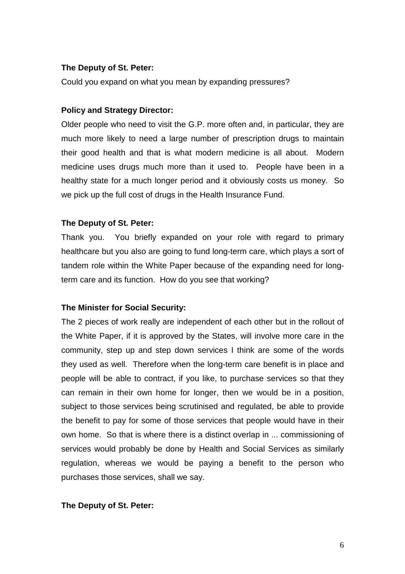## **The Deputy of St. Peter:**

Could you expand on what you mean by expanding pressures?

## **Policy and Strategy Director:**

Older people who need to visit the G.P. more often and, in particular, they are much more likely to need a large number of prescription drugs to maintain their good health and that is what modern medicine is all about. Modern medicine uses drugs much more than it used to. People have been in a healthy state for a much longer period and it obviously costs us money. So we pick up the full cost of drugs in the Health Insurance Fund.

## **The Deputy of St. Peter:**

Thank you. You briefly expanded on your role with regard to primary healthcare but you also are going to fund long-term care, which plays a sort of tandem role within the White Paper because of the expanding need for longterm care and its function. How do you see that working?

## **The Minister for Social Security:**

The 2 pieces of work really are independent of each other but in the rollout of the White Paper, if it is approved by the States, will involve more care in the community, step up and step down services I think are some of the words they used as well. Therefore when the long-term care benefit is in place and people will be able to contract, if you like, to purchase services so that they can remain in their own home for longer, then we would be in a position, subject to those services being scrutinised and regulated, be able to provide the benefit to pay for some of those services that people would have in their own home. So that is where there is a distinct overlap in ... commissioning of services would probably be done by Health and Social Services as similarly regulation, whereas we would be paying a benefit to the person who purchases those services, shall we say.

## **The Deputy of St. Peter:**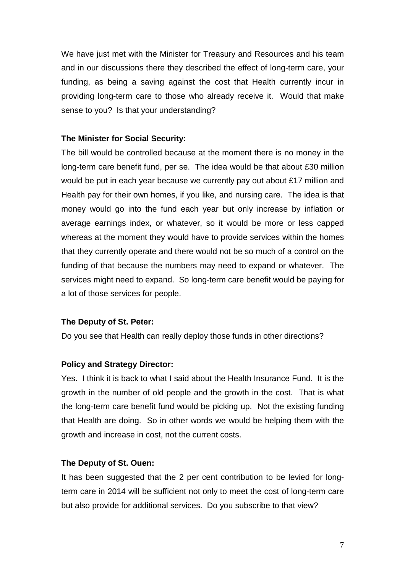We have just met with the Minister for Treasury and Resources and his team and in our discussions there they described the effect of long-term care, your funding, as being a saving against the cost that Health currently incur in providing long-term care to those who already receive it. Would that make sense to you? Is that your understanding?

## **The Minister for Social Security:**

The bill would be controlled because at the moment there is no money in the long-term care benefit fund, per se. The idea would be that about £30 million would be put in each year because we currently pay out about £17 million and Health pay for their own homes, if you like, and nursing care. The idea is that money would go into the fund each year but only increase by inflation or average earnings index, or whatever, so it would be more or less capped whereas at the moment they would have to provide services within the homes that they currently operate and there would not be so much of a control on the funding of that because the numbers may need to expand or whatever. The services might need to expand. So long-term care benefit would be paying for a lot of those services for people.

## **The Deputy of St. Peter:**

Do you see that Health can really deploy those funds in other directions?

## **Policy and Strategy Director:**

Yes. I think it is back to what I said about the Health Insurance Fund. It is the growth in the number of old people and the growth in the cost. That is what the long-term care benefit fund would be picking up. Not the existing funding that Health are doing. So in other words we would be helping them with the growth and increase in cost, not the current costs.

## **The Deputy of St. Ouen:**

It has been suggested that the 2 per cent contribution to be levied for longterm care in 2014 will be sufficient not only to meet the cost of long-term care but also provide for additional services. Do you subscribe to that view?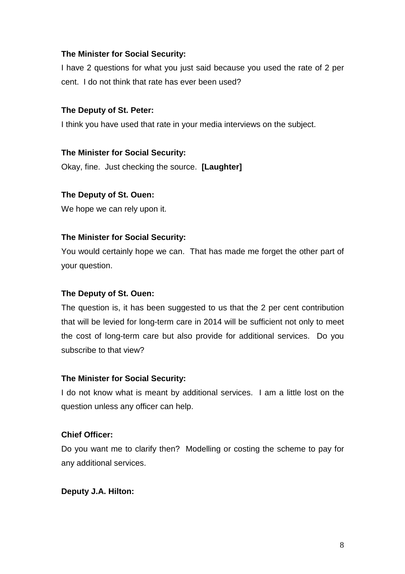I have 2 questions for what you just said because you used the rate of 2 per cent. I do not think that rate has ever been used?

## **The Deputy of St. Peter:**

I think you have used that rate in your media interviews on the subject.

## **The Minister for Social Security:**

Okay, fine. Just checking the source. **[Laughter]**

## **The Deputy of St. Ouen:**

We hope we can rely upon it.

## **The Minister for Social Security:**

You would certainly hope we can. That has made me forget the other part of your question.

## **The Deputy of St. Ouen:**

The question is, it has been suggested to us that the 2 per cent contribution that will be levied for long-term care in 2014 will be sufficient not only to meet the cost of long-term care but also provide for additional services. Do you subscribe to that view?

## **The Minister for Social Security:**

I do not know what is meant by additional services. I am a little lost on the question unless any officer can help.

## **Chief Officer:**

Do you want me to clarify then? Modelling or costing the scheme to pay for any additional services.

## **Deputy J.A. Hilton:**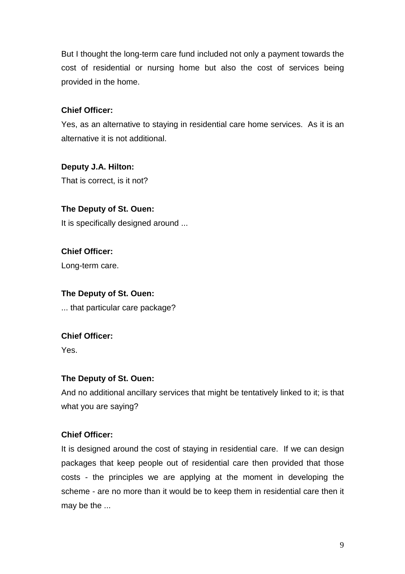But I thought the long-term care fund included not only a payment towards the cost of residential or nursing home but also the cost of services being provided in the home.

## **Chief Officer:**

Yes, as an alternative to staying in residential care home services. As it is an alternative it is not additional.

## **Deputy J.A. Hilton:**

That is correct, is it not?

## **The Deputy of St. Ouen:**

It is specifically designed around ...

**Chief Officer:**  Long-term care.

## **The Deputy of St. Ouen:**

... that particular care package?

## **Chief Officer:**

Yes.

## **The Deputy of St. Ouen:**

And no additional ancillary services that might be tentatively linked to it; is that what you are saying?

## **Chief Officer:**

It is designed around the cost of staying in residential care. If we can design packages that keep people out of residential care then provided that those costs - the principles we are applying at the moment in developing the scheme - are no more than it would be to keep them in residential care then it may be the ...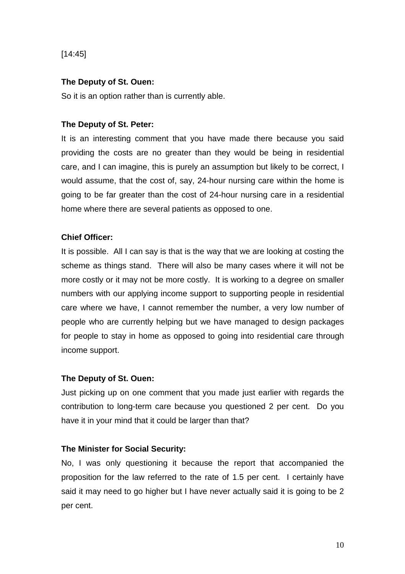[14:45]

## **The Deputy of St. Ouen:**

So it is an option rather than is currently able.

## **The Deputy of St. Peter:**

It is an interesting comment that you have made there because you said providing the costs are no greater than they would be being in residential care, and I can imagine, this is purely an assumption but likely to be correct, I would assume, that the cost of, say, 24-hour nursing care within the home is going to be far greater than the cost of 24-hour nursing care in a residential home where there are several patients as opposed to one.

## **Chief Officer:**

It is possible. All I can say is that is the way that we are looking at costing the scheme as things stand. There will also be many cases where it will not be more costly or it may not be more costly. It is working to a degree on smaller numbers with our applying income support to supporting people in residential care where we have, I cannot remember the number, a very low number of people who are currently helping but we have managed to design packages for people to stay in home as opposed to going into residential care through income support.

## **The Deputy of St. Ouen:**

Just picking up on one comment that you made just earlier with regards the contribution to long-term care because you questioned 2 per cent. Do you have it in your mind that it could be larger than that?

## **The Minister for Social Security:**

No, I was only questioning it because the report that accompanied the proposition for the law referred to the rate of 1.5 per cent. I certainly have said it may need to go higher but I have never actually said it is going to be 2 per cent.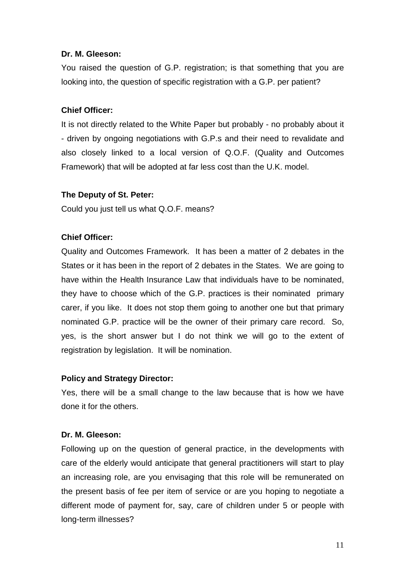## **Dr. M. Gleeson:**

You raised the question of G.P. registration; is that something that you are looking into, the question of specific registration with a G.P. per patient?

## **Chief Officer:**

It is not directly related to the White Paper but probably - no probably about it - driven by ongoing negotiations with G.P.s and their need to revalidate and also closely linked to a local version of Q.O.F. (Quality and Outcomes Framework) that will be adopted at far less cost than the U.K. model.

## **The Deputy of St. Peter:**

Could you just tell us what Q.O.F. means?

## **Chief Officer:**

Quality and Outcomes Framework. It has been a matter of 2 debates in the States or it has been in the report of 2 debates in the States. We are going to have within the Health Insurance Law that individuals have to be nominated, they have to choose which of the G.P. practices is their nominated primary carer, if you like. It does not stop them going to another one but that primary nominated G.P. practice will be the owner of their primary care record. So, yes, is the short answer but I do not think we will go to the extent of registration by legislation. It will be nomination.

## **Policy and Strategy Director:**

Yes, there will be a small change to the law because that is how we have done it for the others.

## **Dr. M. Gleeson:**

Following up on the question of general practice, in the developments with care of the elderly would anticipate that general practitioners will start to play an increasing role, are you envisaging that this role will be remunerated on the present basis of fee per item of service or are you hoping to negotiate a different mode of payment for, say, care of children under 5 or people with long-term illnesses?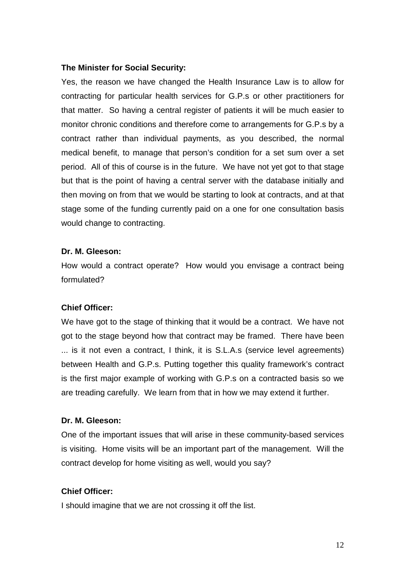Yes, the reason we have changed the Health Insurance Law is to allow for contracting for particular health services for G.P.s or other practitioners for that matter. So having a central register of patients it will be much easier to monitor chronic conditions and therefore come to arrangements for G.P.s by a contract rather than individual payments, as you described, the normal medical benefit, to manage that person's condition for a set sum over a set period. All of this of course is in the future. We have not yet got to that stage but that is the point of having a central server with the database initially and then moving on from that we would be starting to look at contracts, and at that stage some of the funding currently paid on a one for one consultation basis would change to contracting.

#### **Dr. M. Gleeson:**

How would a contract operate? How would you envisage a contract being formulated?

## **Chief Officer:**

We have got to the stage of thinking that it would be a contract. We have not got to the stage beyond how that contract may be framed. There have been ... is it not even a contract, I think, it is S.L.A.s (service level agreements) between Health and G.P.s. Putting together this quality framework's contract is the first major example of working with G.P.s on a contracted basis so we are treading carefully. We learn from that in how we may extend it further.

#### **Dr. M. Gleeson:**

One of the important issues that will arise in these community-based services is visiting. Home visits will be an important part of the management. Will the contract develop for home visiting as well, would you say?

## **Chief Officer:**

I should imagine that we are not crossing it off the list.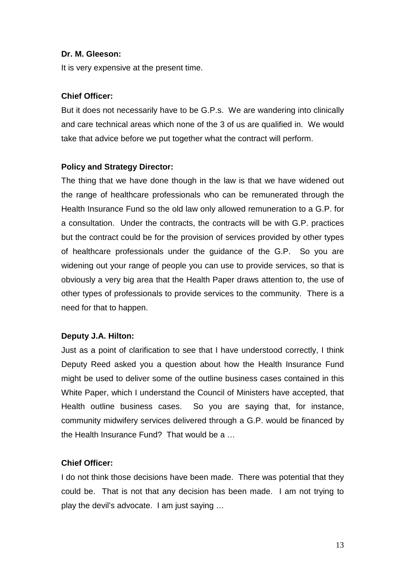## **Dr. M. Gleeson:**

It is very expensive at the present time.

## **Chief Officer:**

But it does not necessarily have to be G.P.s. We are wandering into clinically and care technical areas which none of the 3 of us are qualified in. We would take that advice before we put together what the contract will perform.

## **Policy and Strategy Director:**

The thing that we have done though in the law is that we have widened out the range of healthcare professionals who can be remunerated through the Health Insurance Fund so the old law only allowed remuneration to a G.P. for a consultation. Under the contracts, the contracts will be with G.P. practices but the contract could be for the provision of services provided by other types of healthcare professionals under the guidance of the G.P. So you are widening out your range of people you can use to provide services, so that is obviously a very big area that the Health Paper draws attention to, the use of other types of professionals to provide services to the community. There is a need for that to happen.

## **Deputy J.A. Hilton:**

Just as a point of clarification to see that I have understood correctly, I think Deputy Reed asked you a question about how the Health Insurance Fund might be used to deliver some of the outline business cases contained in this White Paper, which I understand the Council of Ministers have accepted, that Health outline business cases. So you are saying that, for instance, community midwifery services delivered through a G.P. would be financed by the Health Insurance Fund? That would be a …

## **Chief Officer:**

I do not think those decisions have been made. There was potential that they could be. That is not that any decision has been made. I am not trying to play the devil's advocate. I am just saying …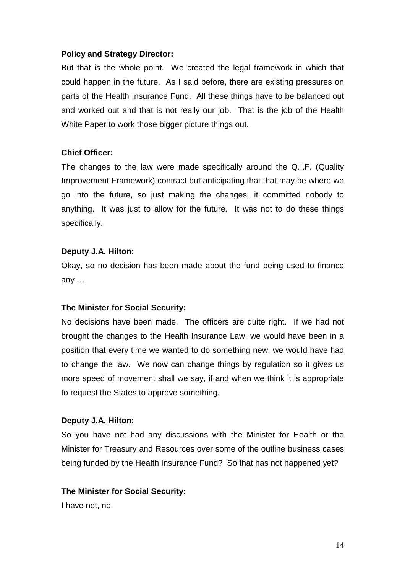## **Policy and Strategy Director:**

But that is the whole point. We created the legal framework in which that could happen in the future. As I said before, there are existing pressures on parts of the Health Insurance Fund. All these things have to be balanced out and worked out and that is not really our job. That is the job of the Health White Paper to work those bigger picture things out.

## **Chief Officer:**

The changes to the law were made specifically around the Q.I.F. (Quality Improvement Framework) contract but anticipating that that may be where we go into the future, so just making the changes, it committed nobody to anything. It was just to allow for the future. It was not to do these things specifically.

## **Deputy J.A. Hilton:**

Okay, so no decision has been made about the fund being used to finance any …

## **The Minister for Social Security:**

No decisions have been made. The officers are quite right. If we had not brought the changes to the Health Insurance Law, we would have been in a position that every time we wanted to do something new, we would have had to change the law. We now can change things by regulation so it gives us more speed of movement shall we say, if and when we think it is appropriate to request the States to approve something.

## **Deputy J.A. Hilton:**

So you have not had any discussions with the Minister for Health or the Minister for Treasury and Resources over some of the outline business cases being funded by the Health Insurance Fund? So that has not happened yet?

## **The Minister for Social Security:**

I have not, no.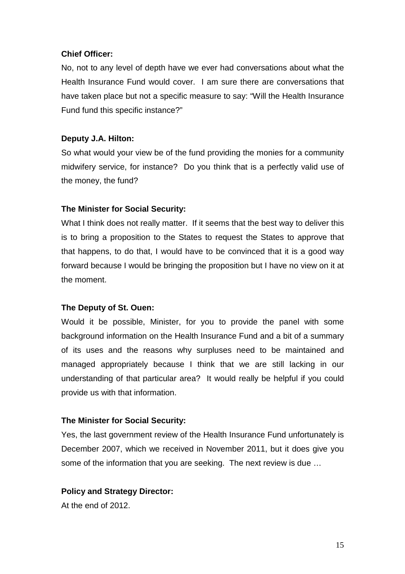## **Chief Officer:**

No, not to any level of depth have we ever had conversations about what the Health Insurance Fund would cover. I am sure there are conversations that have taken place but not a specific measure to say: "Will the Health Insurance Fund fund this specific instance?"

## **Deputy J.A. Hilton:**

So what would your view be of the fund providing the monies for a community midwifery service, for instance? Do you think that is a perfectly valid use of the money, the fund?

## **The Minister for Social Security:**

What I think does not really matter. If it seems that the best way to deliver this is to bring a proposition to the States to request the States to approve that that happens, to do that, I would have to be convinced that it is a good way forward because I would be bringing the proposition but I have no view on it at the moment.

## **The Deputy of St. Ouen:**

Would it be possible, Minister, for you to provide the panel with some background information on the Health Insurance Fund and a bit of a summary of its uses and the reasons why surpluses need to be maintained and managed appropriately because I think that we are still lacking in our understanding of that particular area? It would really be helpful if you could provide us with that information.

## **The Minister for Social Security:**

Yes, the last government review of the Health Insurance Fund unfortunately is December 2007, which we received in November 2011, but it does give you some of the information that you are seeking. The next review is due …

## **Policy and Strategy Director:**

At the end of 2012.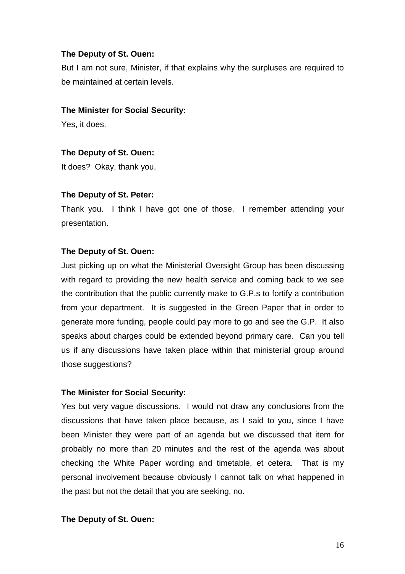## **The Deputy of St. Ouen:**

But I am not sure, Minister, if that explains why the surpluses are required to be maintained at certain levels.

## **The Minister for Social Security:**

Yes, it does.

## **The Deputy of St. Ouen:**

It does? Okay, thank you.

## **The Deputy of St. Peter:**

Thank you. I think I have got one of those. I remember attending your presentation.

## **The Deputy of St. Ouen:**

Just picking up on what the Ministerial Oversight Group has been discussing with regard to providing the new health service and coming back to we see the contribution that the public currently make to G.P.s to fortify a contribution from your department. It is suggested in the Green Paper that in order to generate more funding, people could pay more to go and see the G.P. It also speaks about charges could be extended beyond primary care. Can you tell us if any discussions have taken place within that ministerial group around those suggestions?

## **The Minister for Social Security:**

Yes but very vague discussions. I would not draw any conclusions from the discussions that have taken place because, as I said to you, since I have been Minister they were part of an agenda but we discussed that item for probably no more than 20 minutes and the rest of the agenda was about checking the White Paper wording and timetable, et cetera. That is my personal involvement because obviously I cannot talk on what happened in the past but not the detail that you are seeking, no.

## **The Deputy of St. Ouen:**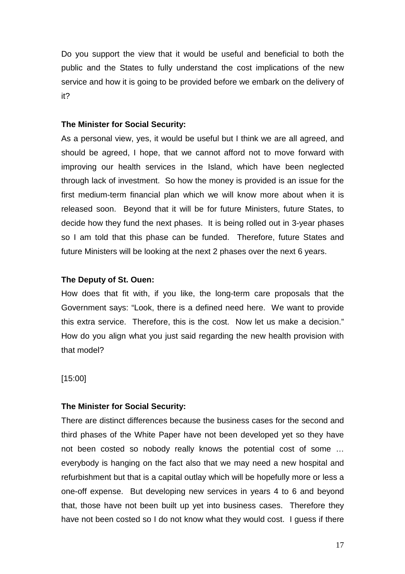Do you support the view that it would be useful and beneficial to both the public and the States to fully understand the cost implications of the new service and how it is going to be provided before we embark on the delivery of it?

#### **The Minister for Social Security:**

As a personal view, yes, it would be useful but I think we are all agreed, and should be agreed, I hope, that we cannot afford not to move forward with improving our health services in the Island, which have been neglected through lack of investment. So how the money is provided is an issue for the first medium-term financial plan which we will know more about when it is released soon. Beyond that it will be for future Ministers, future States, to decide how they fund the next phases. It is being rolled out in 3-year phases so I am told that this phase can be funded. Therefore, future States and future Ministers will be looking at the next 2 phases over the next 6 years.

## **The Deputy of St. Ouen:**

How does that fit with, if you like, the long-term care proposals that the Government says: "Look, there is a defined need here. We want to provide this extra service. Therefore, this is the cost. Now let us make a decision." How do you align what you just said regarding the new health provision with that model?

[15:00]

## **The Minister for Social Security:**

There are distinct differences because the business cases for the second and third phases of the White Paper have not been developed yet so they have not been costed so nobody really knows the potential cost of some … everybody is hanging on the fact also that we may need a new hospital and refurbishment but that is a capital outlay which will be hopefully more or less a one-off expense. But developing new services in years 4 to 6 and beyond that, those have not been built up yet into business cases. Therefore they have not been costed so I do not know what they would cost. I guess if there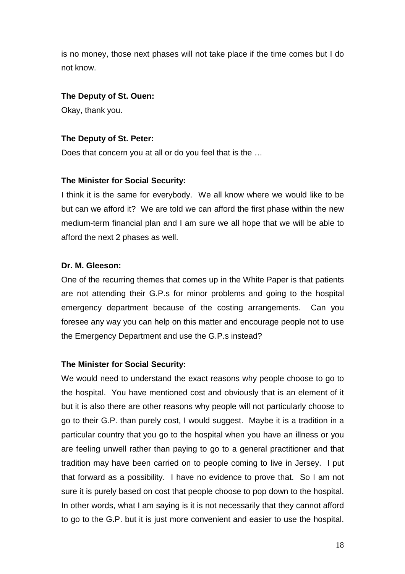is no money, those next phases will not take place if the time comes but I do not know.

## **The Deputy of St. Ouen:**

Okay, thank you.

## **The Deputy of St. Peter:**

Does that concern you at all or do you feel that is the …

## **The Minister for Social Security:**

I think it is the same for everybody. We all know where we would like to be but can we afford it? We are told we can afford the first phase within the new medium-term financial plan and I am sure we all hope that we will be able to afford the next 2 phases as well.

## **Dr. M. Gleeson:**

One of the recurring themes that comes up in the White Paper is that patients are not attending their G.P.s for minor problems and going to the hospital emergency department because of the costing arrangements. Can you foresee any way you can help on this matter and encourage people not to use the Emergency Department and use the G.P.s instead?

## **The Minister for Social Security:**

We would need to understand the exact reasons why people choose to go to the hospital. You have mentioned cost and obviously that is an element of it but it is also there are other reasons why people will not particularly choose to go to their G.P. than purely cost, I would suggest. Maybe it is a tradition in a particular country that you go to the hospital when you have an illness or you are feeling unwell rather than paying to go to a general practitioner and that tradition may have been carried on to people coming to live in Jersey. I put that forward as a possibility. I have no evidence to prove that. So I am not sure it is purely based on cost that people choose to pop down to the hospital. In other words, what I am saying is it is not necessarily that they cannot afford to go to the G.P. but it is just more convenient and easier to use the hospital.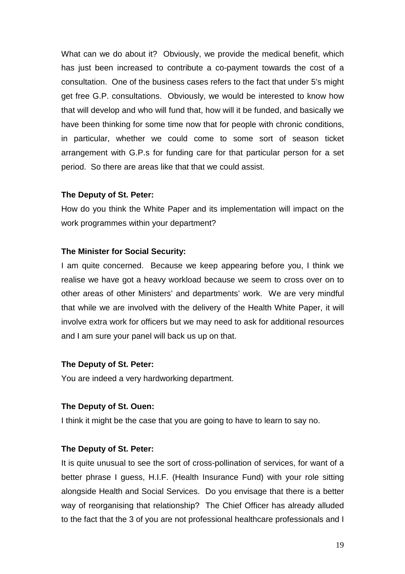What can we do about it? Obviously, we provide the medical benefit, which has just been increased to contribute a co-payment towards the cost of a consultation. One of the business cases refers to the fact that under 5's might get free G.P. consultations. Obviously, we would be interested to know how that will develop and who will fund that, how will it be funded, and basically we have been thinking for some time now that for people with chronic conditions, in particular, whether we could come to some sort of season ticket arrangement with G.P.s for funding care for that particular person for a set period. So there are areas like that that we could assist.

#### **The Deputy of St. Peter:**

How do you think the White Paper and its implementation will impact on the work programmes within your department?

## **The Minister for Social Security:**

I am quite concerned. Because we keep appearing before you, I think we realise we have got a heavy workload because we seem to cross over on to other areas of other Ministers' and departments' work. We are very mindful that while we are involved with the delivery of the Health White Paper, it will involve extra work for officers but we may need to ask for additional resources and I am sure your panel will back us up on that.

## **The Deputy of St. Peter:**

You are indeed a very hardworking department.

## **The Deputy of St. Ouen:**

I think it might be the case that you are going to have to learn to say no.

## **The Deputy of St. Peter:**

It is quite unusual to see the sort of cross-pollination of services, for want of a better phrase I guess, H.I.F. (Health Insurance Fund) with your role sitting alongside Health and Social Services. Do you envisage that there is a better way of reorganising that relationship? The Chief Officer has already alluded to the fact that the 3 of you are not professional healthcare professionals and I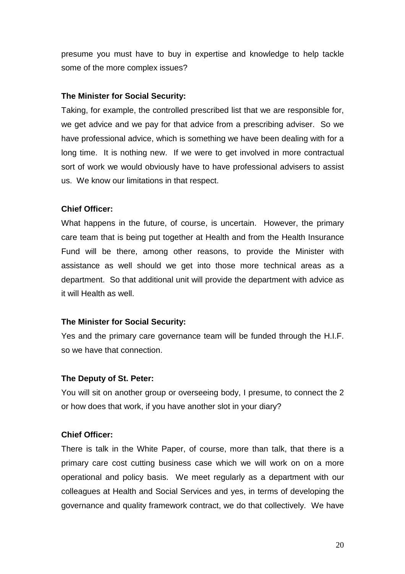presume you must have to buy in expertise and knowledge to help tackle some of the more complex issues?

## **The Minister for Social Security:**

Taking, for example, the controlled prescribed list that we are responsible for, we get advice and we pay for that advice from a prescribing adviser. So we have professional advice, which is something we have been dealing with for a long time. It is nothing new. If we were to get involved in more contractual sort of work we would obviously have to have professional advisers to assist us. We know our limitations in that respect.

## **Chief Officer:**

What happens in the future, of course, is uncertain. However, the primary care team that is being put together at Health and from the Health Insurance Fund will be there, among other reasons, to provide the Minister with assistance as well should we get into those more technical areas as a department. So that additional unit will provide the department with advice as it will Health as well.

## **The Minister for Social Security:**

Yes and the primary care governance team will be funded through the H.I.F. so we have that connection.

## **The Deputy of St. Peter:**

You will sit on another group or overseeing body, I presume, to connect the 2 or how does that work, if you have another slot in your diary?

## **Chief Officer:**

There is talk in the White Paper, of course, more than talk, that there is a primary care cost cutting business case which we will work on on a more operational and policy basis. We meet regularly as a department with our colleagues at Health and Social Services and yes, in terms of developing the governance and quality framework contract, we do that collectively. We have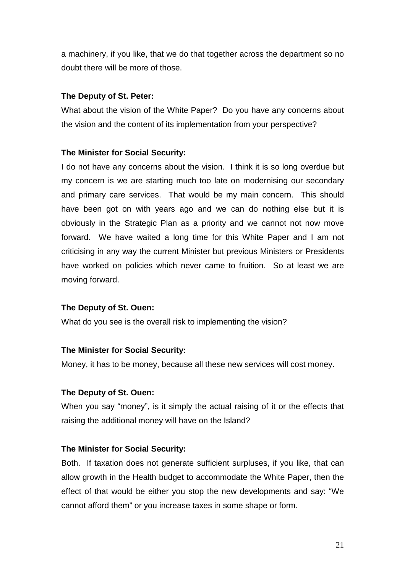a machinery, if you like, that we do that together across the department so no doubt there will be more of those.

## **The Deputy of St. Peter:**

What about the vision of the White Paper? Do you have any concerns about the vision and the content of its implementation from your perspective?

## **The Minister for Social Security:**

I do not have any concerns about the vision. I think it is so long overdue but my concern is we are starting much too late on modernising our secondary and primary care services. That would be my main concern. This should have been got on with years ago and we can do nothing else but it is obviously in the Strategic Plan as a priority and we cannot not now move forward. We have waited a long time for this White Paper and I am not criticising in any way the current Minister but previous Ministers or Presidents have worked on policies which never came to fruition. So at least we are moving forward.

## **The Deputy of St. Ouen:**

What do you see is the overall risk to implementing the vision?

## **The Minister for Social Security:**

Money, it has to be money, because all these new services will cost money.

## **The Deputy of St. Ouen:**

When you say "money", is it simply the actual raising of it or the effects that raising the additional money will have on the Island?

## **The Minister for Social Security:**

Both. If taxation does not generate sufficient surpluses, if you like, that can allow growth in the Health budget to accommodate the White Paper, then the effect of that would be either you stop the new developments and say: "We cannot afford them" or you increase taxes in some shape or form.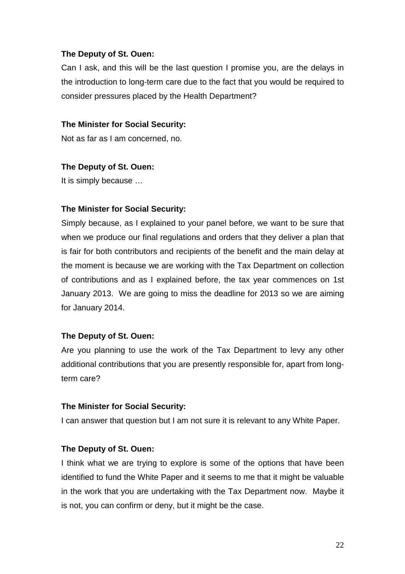## **The Deputy of St. Ouen:**

Can I ask, and this will be the last question I promise you, are the delays in the introduction to long-term care due to the fact that you would be required to consider pressures placed by the Health Department?

## **The Minister for Social Security:**

Not as far as I am concerned, no.

#### **The Deputy of St. Ouen:**

It is simply because …

## **The Minister for Social Security:**

Simply because, as I explained to your panel before, we want to be sure that when we produce our final regulations and orders that they deliver a plan that is fair for both contributors and recipients of the benefit and the main delay at the moment is because we are working with the Tax Department on collection of contributions and as I explained before, the tax year commences on 1st January 2013. We are going to miss the deadline for 2013 so we are aiming for January 2014.

## **The Deputy of St. Ouen:**

Are you planning to use the work of the Tax Department to levy any other additional contributions that you are presently responsible for, apart from longterm care?

## **The Minister for Social Security:**

I can answer that question but I am not sure it is relevant to any White Paper.

## **The Deputy of St. Ouen:**

I think what we are trying to explore is some of the options that have been identified to fund the White Paper and it seems to me that it might be valuable in the work that you are undertaking with the Tax Department now. Maybe it is not, you can confirm or deny, but it might be the case.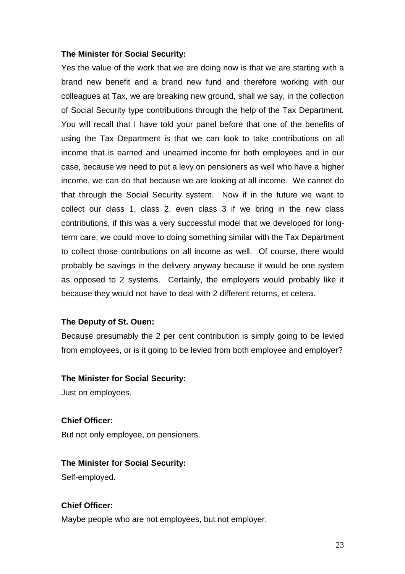Yes the value of the work that we are doing now is that we are starting with a brand new benefit and a brand new fund and therefore working with our colleagues at Tax, we are breaking new ground, shall we say, in the collection of Social Security type contributions through the help of the Tax Department. You will recall that I have told your panel before that one of the benefits of using the Tax Department is that we can look to take contributions on all income that is earned and unearned income for both employees and in our case, because we need to put a levy on pensioners as well who have a higher income, we can do that because we are looking at all income. We cannot do that through the Social Security system. Now if in the future we want to collect our class 1, class 2, even class 3 if we bring in the new class contributions, if this was a very successful model that we developed for longterm care, we could move to doing something similar with the Tax Department to collect those contributions on all income as well. Of course, there would probably be savings in the delivery anyway because it would be one system as opposed to 2 systems. Certainly, the employers would probably like it because they would not have to deal with 2 different returns, et cetera.

## **The Deputy of St. Ouen:**

Because presumably the 2 per cent contribution is simply going to be levied from employees, or is it going to be levied from both employee and employer?

#### **The Minister for Social Security:**

Just on employees.

## **Chief Officer:**

But not only employee, on pensioners.

## **The Minister for Social Security:**

Self-employed.

## **Chief Officer:**

Maybe people who are not employees, but not employer.